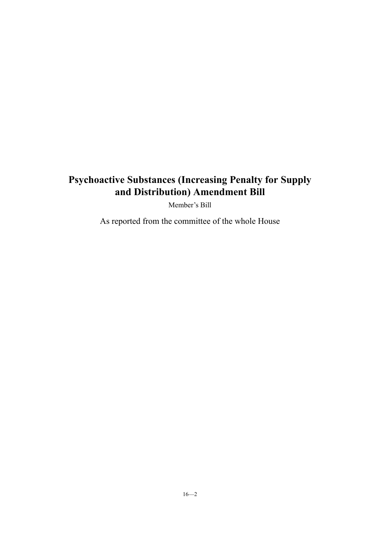# **Psychoactive Substances (Increasing Penalty for Supply and Distribution) Amendment Bill**

Member's Bill

As reported from the committee of the whole House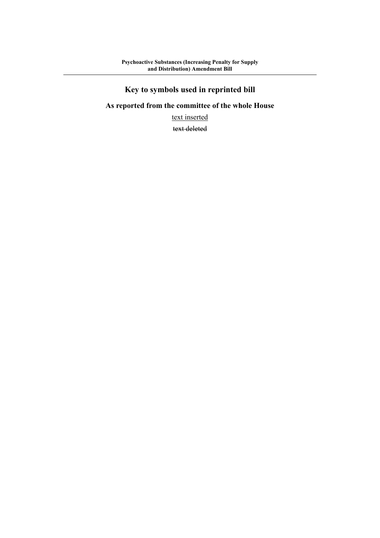# **Key to symbols used in reprinted bill**

### **As reported from the committee of the whole House**

text inserted

text deleted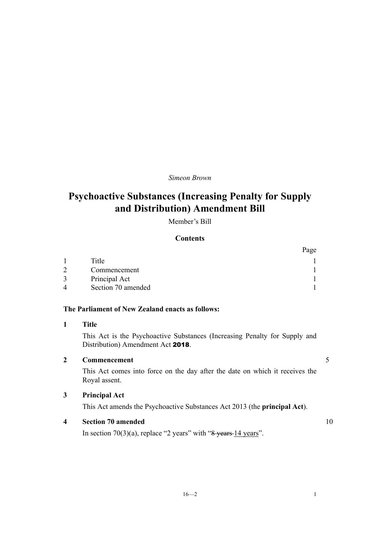### *Simeon Brown*

# **Psychoactive Substances (Increasing Penalty for Supply and Distribution) Amendment Bill**

Member's Bill

#### **Contents**

|                        |                    | Page |
|------------------------|--------------------|------|
|                        | Title              |      |
| $\mathcal{D}$          | Commencement       |      |
| 3                      | Principal Act      |      |
| $\boldsymbol{\Lambda}$ | Section 70 amended |      |

#### **The Parliament of New Zealand enacts as follows:**

#### **1 Title**

This Act is the Psychoactive Substances (Increasing Penalty for Supply and Distribution) Amendment Act 2018.

#### **2 Commencement** 5

This Act comes into force on the day after the date on which it receives the Royal assent.

### **3 Principal Act**

This Act amends the Psychoactive Substances Act 2013 (the **principal Act**).

#### **4 Section 70 amended** 10

In section 70(3)(a), replace "2 years" with " $8$  years 14 years".